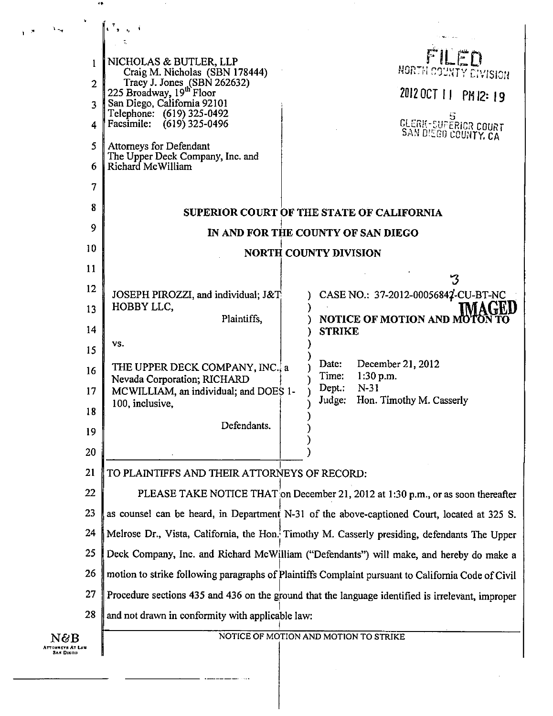| 1<br>$\overline{2}$<br>$\overline{3}$<br>4<br>5<br>6<br>7 | NICHOLAS & BUTLER, LLP<br>Craig M. Nicholas (SBN 178444)<br>Tracy J. Jones (SBN 262632)<br>225 Broadway, 19 <sup>th</sup> Floor<br>San Diego, California 92101<br>Telephone: (619) 325-0492<br>Facsimile: (619) 325-0496<br>Attorneys for Defendant<br>The Upper Deck Company, Inc. and<br>Richard McWilliam | FILED<br>NORTH COUNTY CIVISION<br>2012 OCT 11 PM12:19<br><b>CLERK-SUPERICR COURT</b><br>SAN DISGO COUNTY, CA |
|-----------------------------------------------------------|--------------------------------------------------------------------------------------------------------------------------------------------------------------------------------------------------------------------------------------------------------------------------------------------------------------|--------------------------------------------------------------------------------------------------------------|
| 8                                                         |                                                                                                                                                                                                                                                                                                              | SUPERIOR COURT OF THE STATE OF CALIFORNIA                                                                    |
| 9                                                         | IN AND FOR THE COUNTY OF SAN DIEGO                                                                                                                                                                                                                                                                           |                                                                                                              |
| 10                                                        |                                                                                                                                                                                                                                                                                                              | <b>NORTH COUNTY DIVISION</b>                                                                                 |
| 11<br>12                                                  |                                                                                                                                                                                                                                                                                                              |                                                                                                              |
| 13                                                        | JOSEPH PIROZZI, and individual; J&T<br>HOBBY LLC,                                                                                                                                                                                                                                                            | CASE NO.: 37-2012-00056842-CU-BT-NC                                                                          |
| 14                                                        | Plaintiffs,                                                                                                                                                                                                                                                                                                  | <b>NOTICE OF MOTION AND MOTON</b><br><b>STRIKE</b>                                                           |
| 15                                                        | VS.                                                                                                                                                                                                                                                                                                          |                                                                                                              |
| 16                                                        | THE UPPER DECK COMPANY, INC., a<br>Nevada Corporation; RICHARD                                                                                                                                                                                                                                               | Date:<br>December 21, 2012<br>1:30 p.m.<br>Time:                                                             |
| 17                                                        | MCWILLIAM, an individual; and DOES 1-                                                                                                                                                                                                                                                                        | $N-31$<br>Depth:<br>Judge:<br>Hon. Timothy M. Casserly                                                       |
| 18                                                        | 100, inclusive,                                                                                                                                                                                                                                                                                              |                                                                                                              |
| 19                                                        | Defendants.                                                                                                                                                                                                                                                                                                  |                                                                                                              |
| 20                                                        |                                                                                                                                                                                                                                                                                                              |                                                                                                              |
| 21                                                        | TO PLAINTIFFS AND THEIR ATTORNEYS OF RECORD:                                                                                                                                                                                                                                                                 |                                                                                                              |
| 22                                                        | PLEASE TAKE NOTICE THAT on December 21, 2012 at 1:30 p.m., or as soon thereafter                                                                                                                                                                                                                             |                                                                                                              |
| 23<br>24                                                  | as counsel can be heard, in Department N-31 of the above-captioned Court, located at 325 S.<br>Melrose Dr., Vista, California, the Hon. Timothy M. Casserly presiding, defendants The Upper                                                                                                                  |                                                                                                              |
| 25                                                        |                                                                                                                                                                                                                                                                                                              |                                                                                                              |
| 26                                                        | Deck Company, Inc. and Richard McWilliam ("Defendants") will make, and hereby do make a<br>motion to strike following paragraphs of Plaintiffs Complaint pursuant to California Code of Civil                                                                                                                |                                                                                                              |
| 27                                                        | Procedure sections 435 and 436 on the ground that the language identified is irrelevant, improper                                                                                                                                                                                                            |                                                                                                              |
| 28                                                        | and not drawn in conformity with applicable law:                                                                                                                                                                                                                                                             |                                                                                                              |
| N&B                                                       |                                                                                                                                                                                                                                                                                                              | NOTICE OF MOTION AND MOTION TO STRIKE                                                                        |

....

 $\hat{\boldsymbol{\gamma}}$ 

 $\bullet$ 

 $\sqrt{s} = \lambda_{\rm M}$ 

 $\sim$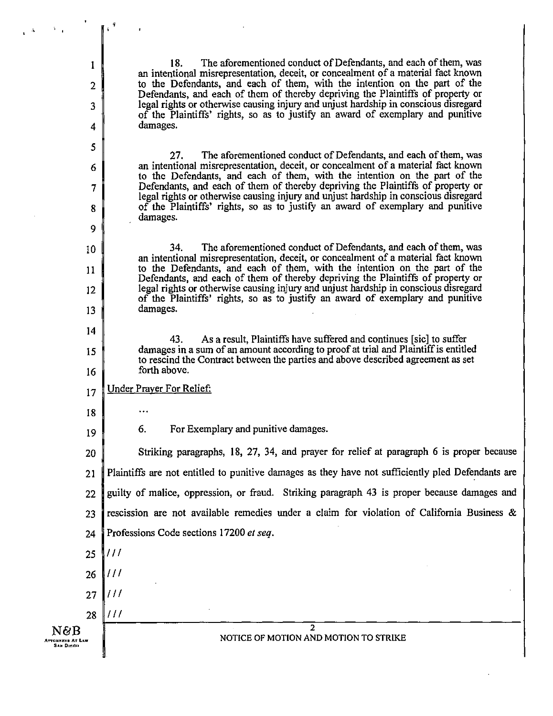18. The aforementioned conduct of Defendants, and each of them, was an intentional misrepresentation, deceit, or concealment of a material fact known to the Defendants, and each of them, with the intention on the part of the Defendants, and each of them of thereby depriving the Plaintiffs of property or legal rights or otherwise causing injury and unjust hardship in conscious disregard of the Plaintiffs' rights, so as to justify an award of exemplary and punitive damages.

27. The aforementioned conduct of Defendants, and each of them, was an intentional misrepresentation, deceit, or concealment of a material fact known to the Defendants, and each of them, with the intention on the part of the Defendants, and each of them of thereby depriving the Plaintiffs of property or legal rights or otherwise causing injury and unjust hardship in conscious disregard of the Plaintiffs' rights, so as to justify an award of exemplary and punitive damages.

34. The aforementioned conduct of Defendants, and each of them, was an intentional misrepresentation, deceit, or concealment of a material fact known to the Defendants, and each of them, with the intention on the part of the Defendants, and each of them of thereby depriving the Plaintiffs of property or legal rights or otherwise causing injury and unjust hardship in conscious disregard of the Plaintiffs' rights, so as to justify an award of exemplary and punitive damages.

43. As a result, Plaintiffs have suffered and continues [sic] to suffer damages in a sum of an amount according to proof at trial and Plaintiff is entitled to rescind the Contract between the parties and above described agreement as set forth above.

Under Prayer For Relief: 17

27

26

 $\frac{1}{2}$ 

 $\frac{1}{2}$ 

 $III$ 

1

2

3

4

5

6

7

8

9

10

11

 $12$ 

13

14

15

16

18

19

28

N&B<br><sup>Attonarky</sup>s At Law<br>9am Dirgo

6. For Exemplary and punitive damages.

Striking paragraphs, 18, 27, 34, and prayer for relief at paragraph 6 is proper because 20 Plaintiffs are not entitled to punitive damages as they have not sufficiently pled Defendants are 21 guilty of malice, oppression, or fraud. Striking paragraph 43 is proper because damages and 22 rescission are not available remedies under a claim for violation of California Business & 23 24 Professions Code sections 17200 et seq.  $III$ 25

> $\overline{2}$ NOTICE OF MOTION AND MOTION TO STRIKE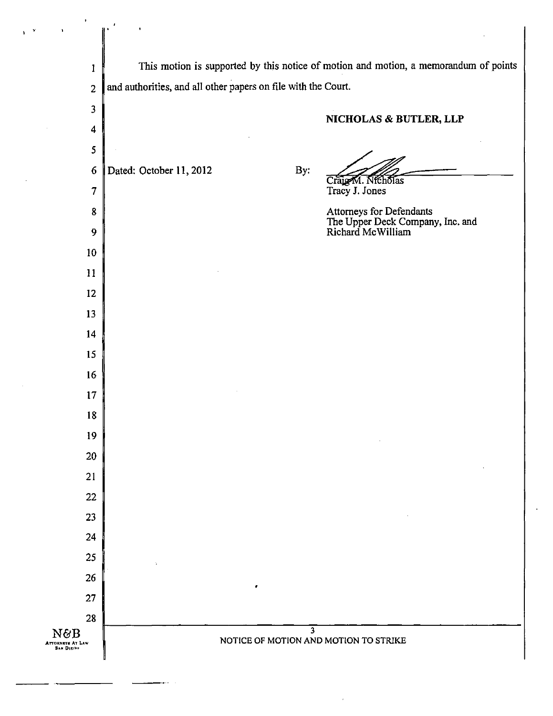| f,                             |                                                                                      |  |
|--------------------------------|--------------------------------------------------------------------------------------|--|
| $\mathbf{1}$                   | This motion is supported by this notice of motion and motion, a memorandum of points |  |
| $\overline{c}$                 | and authorities, and all other papers on file with the Court.                        |  |
| 3                              |                                                                                      |  |
| 4                              | NICHOLAS & BUTLER, LLP                                                               |  |
| 5                              |                                                                                      |  |
| $\boldsymbol{6}$               | Dated: October 11, 2012<br>By:                                                       |  |
| 7                              | Craig M. Nicholas<br>Tracy J. Jones                                                  |  |
| 8                              |                                                                                      |  |
| 9                              | Attorneys for Defendants<br>The Upper Deck Company, Inc. and<br>Richard McWilliam    |  |
| 10 <sub>1</sub>                |                                                                                      |  |
| 11                             |                                                                                      |  |
| 12                             |                                                                                      |  |
| 13                             |                                                                                      |  |
| 14                             |                                                                                      |  |
| 15                             |                                                                                      |  |
| 16                             |                                                                                      |  |
| 17                             |                                                                                      |  |
| 18                             |                                                                                      |  |
| 19                             |                                                                                      |  |
| 20                             |                                                                                      |  |
| 21                             |                                                                                      |  |
| 22                             |                                                                                      |  |
| 23                             |                                                                                      |  |
| 24                             |                                                                                      |  |
| 25                             |                                                                                      |  |
| 26<br>27                       |                                                                                      |  |
| 28                             |                                                                                      |  |
| N&B                            | $\mathbf{3}$<br>NOTICE OF MOTION AND MOTION TO STRIKE                                |  |
| ATTORNEYS AT LAW<br>SAN DIRIIO |                                                                                      |  |

 $\sim$   $\sim$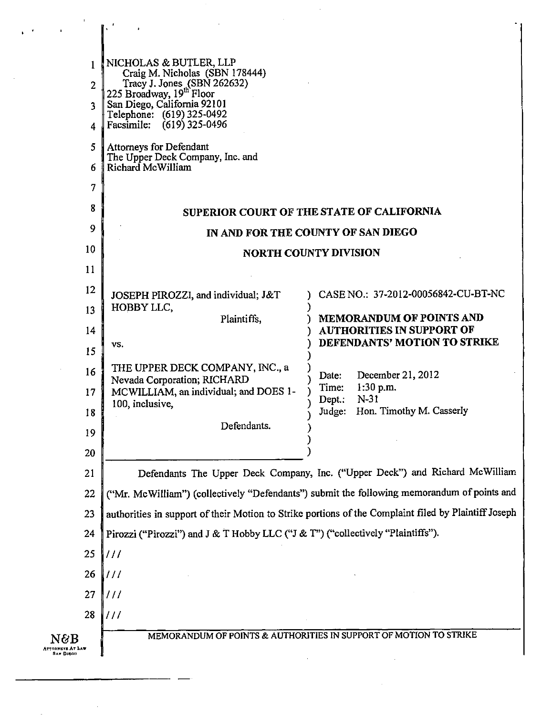| 1<br>$\overline{2}$                      | NICHOLAS & BUTLER, LLP<br>Craig M. Nicholas (SBN 178444)<br>Tracy J. Jones (SBN 262632)<br>225 Broadway, 19 <sup>th</sup> Floor |                                                                   |
|------------------------------------------|---------------------------------------------------------------------------------------------------------------------------------|-------------------------------------------------------------------|
| 3                                        | San Diego, California 92101                                                                                                     |                                                                   |
| 4                                        | Telephone: (619) 325-0492<br>Facsimile: (619) 325-0496                                                                          |                                                                   |
| 5                                        | <b>Attorneys for Defendant</b>                                                                                                  |                                                                   |
| 6                                        | The Upper Deck Company, Inc. and<br>Richard McWilliam                                                                           |                                                                   |
| 7                                        |                                                                                                                                 |                                                                   |
| 8                                        |                                                                                                                                 | SUPERIOR COURT OF THE STATE OF CALIFORNIA                         |
| 9                                        |                                                                                                                                 | IN AND FOR THE COUNTY OF SAN DIEGO                                |
| 10                                       |                                                                                                                                 | <b>NORTH COUNTY DIVISION</b>                                      |
| 11                                       |                                                                                                                                 |                                                                   |
| 12                                       | JOSEPH PIROZZI, and individual; J&T                                                                                             | CASE NO.: 37-2012-00056842-CU-BT-NC                               |
| 13                                       | HOBBY LLC,<br>Plaintiffs,                                                                                                       | <b>MEMORANDUM OF POINTS AND</b>                                   |
| 14                                       |                                                                                                                                 | <b>AUTHORITIES IN SUPPORT OF</b><br>DEFENDANTS' MOTION TO STRIKE  |
| 15                                       | VS.                                                                                                                             |                                                                   |
| 16                                       | THE UPPER DECK COMPANY, INC., a<br>Nevada Corporation; RICHARD                                                                  | December 21, 2012<br>Date:<br>$1:30$ p.m.<br>Time:                |
| 17                                       | MCWILLIAM, an individual; and DOES 1-<br>100, inclusive,                                                                        | $N-31$<br>Dept.:<br>Judge: Hon. Timothy M. Casserly               |
| 18<br>19                                 | Defendants.                                                                                                                     |                                                                   |
| 20                                       |                                                                                                                                 |                                                                   |
| 21                                       | Defendants The Upper Deck Company, Inc. ("Upper Deck") and Richard McWilliam                                                    |                                                                   |
| 22                                       | ("Mr. McWilliam") (collectively "Defendants") submit the following memorandum of points and                                     |                                                                   |
| 23                                       | authorities in support of their Motion to Strike portions of the Complaint filed by Plaintiff Joseph                            |                                                                   |
| 24                                       | Pirozzi ("Pirozzi") and J & T Hobby LLC ("J & T") ("collectively "Plaintiffs").                                                 |                                                                   |
| 25                                       | $\vert \vert \vert \vert \vert$                                                                                                 |                                                                   |
| 26                                       | $\frac{1}{2}$                                                                                                                   |                                                                   |
| 27                                       | 111                                                                                                                             |                                                                   |
| 28                                       | 111                                                                                                                             |                                                                   |
| N&B<br><b>INNEYS AT LAW</b><br>San Direo |                                                                                                                                 | MEMORANDUM OF POINTS & AUTHORITIES IN SUPPORT OF MOTION TO STRIKE |

 $\frac{1}{2} \left( \frac{1}{2} \right)$ 

 $\sim 10^{11}$  km s  $^{-1}$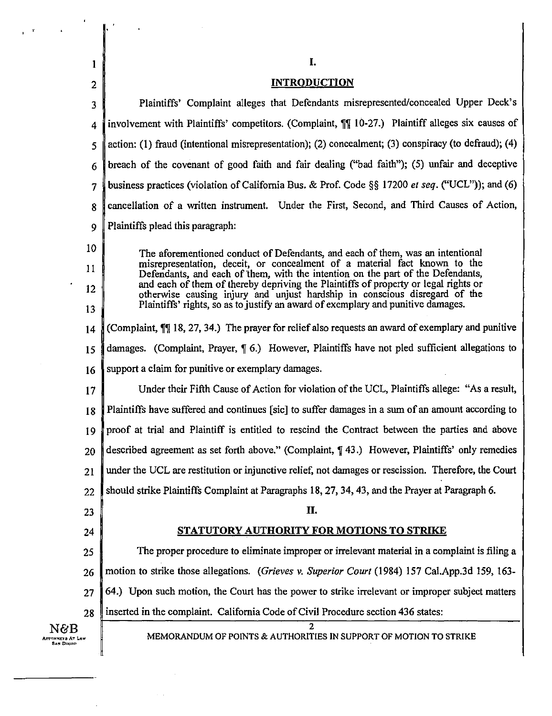| l                                    | I.                                                                                                                                                                |
|--------------------------------------|-------------------------------------------------------------------------------------------------------------------------------------------------------------------|
| $\overline{2}$                       | <b>INTRODUCTION</b>                                                                                                                                               |
| 3                                    | Plaintiffs' Complaint alleges that Defendants misrepresented/concealed Upper Deck's                                                                               |
| 4                                    | involvement with Plaintiffs' competitors. (Complaint, $\P$ ] 10-27.) Plaintiff alleges six causes of                                                              |
| 5                                    | action: (1) fraud (intentional misrepresentation); (2) concealment; (3) conspiracy (to defraud); (4)                                                              |
| 6                                    | breach of the covenant of good faith and fair dealing ("bad faith"); (5) unfair and deceptive                                                                     |
| 7                                    | business practices (violation of California Bus. & Prof. Code $\S$ § 17200 <i>et seq.</i> ("UCL")); and (6)                                                       |
| 8                                    | cancellation of a written instrument. Under the First, Second, and Third Causes of Action,                                                                        |
| 9                                    | Plaintiffs plead this paragraph:                                                                                                                                  |
| 10                                   | The aforementioned conduct of Defendants, and each of them, was an intentional                                                                                    |
| 11                                   | misrepresentation, deceit, or concealment of a material fact known to the<br>Defendants, and each of them, with the intention on the part of the Defendants,      |
| 12                                   | and each of them of thereby depriving the Plaintiffs of property or legal rights or<br>otherwise causing injury and unjust hardship in conscious disregard of the |
| 13                                   | Plaintiffs' rights, so as to justify an award of exemplary and punitive damages.                                                                                  |
| 14                                   | (Complaint, ¶] 18, 27, 34.) The prayer for relief also requests an award of exemplary and punitive                                                                |
| 15                                   | damages. (Complaint, Prayer, $\P$ 6.) However, Plaintiffs have not pled sufficient allegations to                                                                 |
| 16                                   | support a claim for punitive or exemplary damages.                                                                                                                |
| 17                                   | Under their Fifth Cause of Action for violation of the UCL, Plaintiffs allege: "As a result,                                                                      |
| 18                                   | Plaintiffs have suffered and continues [sic] to suffer damages in a sum of an amount according to                                                                 |
| 19                                   | proof at trial and Plaintiff is entitled to rescind the Contract between the parties and above                                                                    |
| 20                                   | described agreement as set forth above." (Complaint, $\P$ 43.) However, Plaintiffs' only remedies                                                                 |
| 21                                   | under the UCL are restitution or injunctive relief, not damages or rescission. Therefore, the Court                                                               |
| 22                                   | should strike Plaintiffs Complaint at Paragraphs 18, 27, 34, 43, and the Prayer at Paragraph 6.                                                                   |
| 23                                   | П.                                                                                                                                                                |
| 24                                   | <b>STATUTORY AUTHORITY FOR MOTIONS TO STRIKE</b>                                                                                                                  |
| 25                                   | The proper procedure to eliminate improper or irrelevant material in a complaint is filing a                                                                      |
| 26                                   | motion to strike those allegations. (Grieves v. Superior Court (1984) 157 Cal.App.3d 159, 163-                                                                    |
| 27                                   | 64.) Upon such motion, the Court has the power to strike irrelevant or improper subject matters                                                                   |
| 28                                   | inserted in the complaint. California Code of Civil Procedure section 436 states:                                                                                 |
| N&B<br>ATTONNEYS AT LAW<br>San Dikoo | 2<br>MEMORANDUM OF POINTS & AUTHORITIES IN SUPPORT OF MOTION TO STRIKE                                                                                            |

 $\bar{z}$ 

 $\sim$   $\sim$ 

l,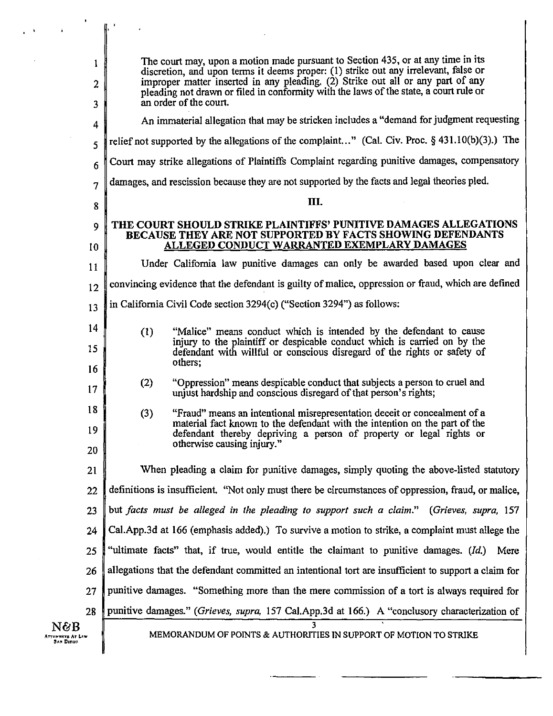|                                        | The court may, upon a motion made pursuant to Section 435, or at any time in its                                                                                       |  |
|----------------------------------------|------------------------------------------------------------------------------------------------------------------------------------------------------------------------|--|
| 1<br>2                                 | discretion, and upon terms it deems proper: (1) strike out any irrelevant, false or<br>improper matter inserted in any pleading. (2) Strike out all or any part of any |  |
| 3                                      | pleading not drawn or filed in conformity with the laws of the state, a court rule or<br>an order of the court.                                                        |  |
| 4                                      | An immaterial allegation that may be stricken includes a "demand for judgment requesting                                                                               |  |
| 5                                      | relief not supported by the allegations of the complaint" (Cal. Civ. Proc. $\S$ 431.10(b)(3).) The                                                                     |  |
| 6                                      | Court may strike allegations of Plaintiffs Complaint regarding punitive damages, compensatory                                                                          |  |
| $\overline{7}$                         | damages, and rescission because they are not supported by the facts and legal theories pled.                                                                           |  |
| 8                                      | III.                                                                                                                                                                   |  |
| 9                                      | THE COURT SHOULD STRIKE PLAINTIFFS' PUNITIVE DAMAGES ALLEGATIONS<br><b>BECAUSE THEY ARE NOT SUPPORTED BY FACTS SHOWING DEFENDANTS</b>                                  |  |
| 10                                     | ALLEGED CONDUCT WARRANTED EXEMPLARY DAMAGES                                                                                                                            |  |
| 11                                     | Under California law punitive damages can only be awarded based upon clear and                                                                                         |  |
| 12                                     | convincing evidence that the defendant is guilty of malice, oppression or fraud, which are defined                                                                     |  |
| 13                                     | in California Civil Code section 3294(c) ("Section 3294") as follows:                                                                                                  |  |
| 14                                     | "Malice" means conduct which is intended by the defendant to cause<br>(1)                                                                                              |  |
| 15                                     | injury to the plaintiff or despicable conduct which is carried on by the<br>defendant with willful or conscious disregard of the rights or safety of<br>others;        |  |
| 16                                     | "Oppression" means despicable conduct that subjects a person to cruel and<br>(2)                                                                                       |  |
| 17                                     | unjust hardship and conscious disregard of that person's rights;                                                                                                       |  |
| 18                                     | (3)<br>"Fraud" means an intentional misrepresentation deceit or concealment of a<br>material fact known to the defendant with the intention on the part of the         |  |
| 19                                     | defendant thereby depriving a person of property or legal rights or<br>otherwise causing injury."                                                                      |  |
| 20                                     |                                                                                                                                                                        |  |
| 21                                     | When pleading a claim for punitive damages, simply quoting the above-listed statutory                                                                                  |  |
| 22                                     | definitions is insufficient. "Not only must there be circumstances of oppression, fraud, or malice,                                                                    |  |
| 23                                     | but facts must be alleged in the pleading to support such a claim." (Grieves, supra, 157                                                                               |  |
| 24                                     | Cal.App.3d at 166 (emphasis added).) To survive a motion to strike, a complaint must allege the                                                                        |  |
| 25                                     | "ultimate facts" that, if true, would entitle the claimant to punitive damages. (Id.)<br>Mere                                                                          |  |
| 26                                     | allegations that the defendant committed an intentional tort are insufficient to support a claim for                                                                   |  |
| 27                                     | punitive damages. "Something more than the mere commission of a tort is always required for                                                                            |  |
| 28                                     | punitive damages." (Grieves, supra, 157 Cal.App.3d at 166.) A "conclusory characterization of                                                                          |  |
| N&B<br>NRYS AT LAW<br><b>SAN DIROO</b> | 3<br>MEMORANDUM OF POINTS & AUTHORITIES IN SUPPORT OF MOTION TO STRIKE                                                                                                 |  |

 $\mathbf{\hat{Y}}_{\mathrm{eff}}$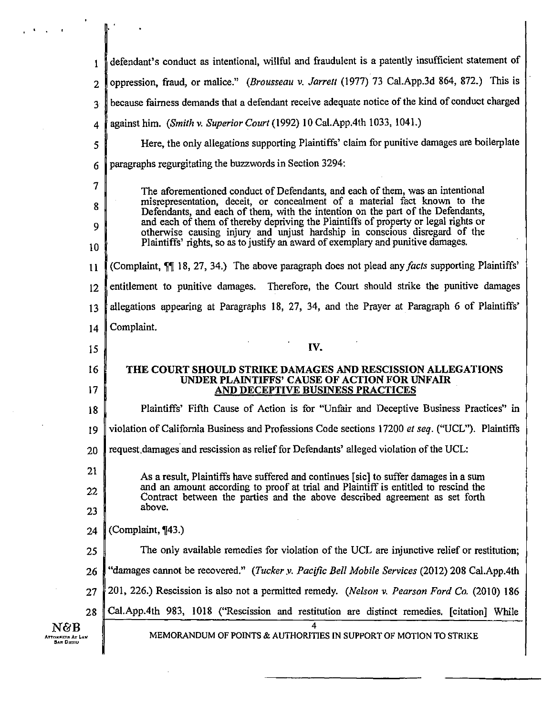| 1              | defendant's conduct as intentional, willful and fraudulent is a patently insufficient statement of                                                                         |  |
|----------------|----------------------------------------------------------------------------------------------------------------------------------------------------------------------------|--|
| $\overline{2}$ | oppression, fraud, or malice." (Brousseau v. Jarrett (1977) 73 Cal.App.3d 864, 872.) This is                                                                               |  |
| 3 <sup>5</sup> | because fairness demands that a defendant receive adequate notice of the kind of conduct charged                                                                           |  |
| 4              | against him. (Smith v. Superior Court (1992) 10 Cal. App. 4th 1033, 1041.)                                                                                                 |  |
| 5              | Here, the only allegations supporting Plaintiffs' claim for punitive damages are boilerplate                                                                               |  |
| 6              | paragraphs regurgitating the buzzwords in Section 3294:                                                                                                                    |  |
| 7              | The aforementioned conduct of Defendants, and each of them, was an intentional                                                                                             |  |
| 8              | misrepresentation, deceit, or concealment of a material fact known to the<br>Defendants, and each of them, with the intention on the part of the Defendants,               |  |
| 9              | and each of them of thereby depriving the Plaintiffs of property or legal rights or<br>otherwise causing injury and unjust hardship in conscious disregard of the          |  |
| 10             | Plaintiffs' rights, so as to justify an award of exemplary and punitive damages.                                                                                           |  |
| 11             | (Complaint, $\P$ 18, 27, 34.) The above paragraph does not plead any <i>facts</i> supporting Plaintiffs'                                                                   |  |
| 12             | entitlement to punitive damages. Therefore, the Court should strike the punitive damages                                                                                   |  |
| 13             | allegations appearing at Paragraphs 18, 27, 34, and the Prayer at Paragraph 6 of Plaintiffs'                                                                               |  |
| 14             | Complaint.                                                                                                                                                                 |  |
|                |                                                                                                                                                                            |  |
| 15             | IV.                                                                                                                                                                        |  |
| 16<br>17       | THE COURT SHOULD STRIKE DAMAGES AND RESCISSION ALLEGATIONS<br>UNDER PLAINTIFFS' CAUSE OF ACTION FOR UNFAIR<br>AND DECEPTIVE BUSINESS PRACTICES                             |  |
| 18             | Plaintiffs' Fifth Cause of Action is for "Unfair and Deceptive Business Practices" in                                                                                      |  |
| 19             | violation of California Business and Professions Code sections 17200 et seq. ("UCL"). Plaintiffs                                                                           |  |
| 20             | request damages and rescission as relief for Defendants' alleged violation of the UCL:                                                                                     |  |
| 21             |                                                                                                                                                                            |  |
| 22             | As a result, Plaintiffs have suffered and continues [sic] to suffer damages in a sum<br>and an amount according to proof at trial and Plaintiff is entitled to rescind the |  |
| 23             | Contract between the parties and the above described agreement as set forth<br>above.                                                                                      |  |
| 24             | (Complaint, ¶43.)                                                                                                                                                          |  |
| 25             | The only available remedies for violation of the UCL are injunctive relief or restitution;                                                                                 |  |
| 26             | "damages cannot be recovered." (Tucker y. Pacific Bell Mobile Services (2012) 208 Cal.App.4th                                                                              |  |
| 27             | 201, 226.) Rescission is also not a permitted remedy. (Nelson v. Pearson Ford Co. (2010) 186                                                                               |  |
| 28             | Cal.App.4th 983, 1018 ("Rescission and restitution are distinct remedies. [citation] While                                                                                 |  |

 $\mathbf{C}^{\dagger}(\mathbf{Q})$  ,  $\mathbf{C}^{\dagger}(\mathbf{Q})$ 

 $\bar{z}$ 

 $\ddot{\phantom{0}}$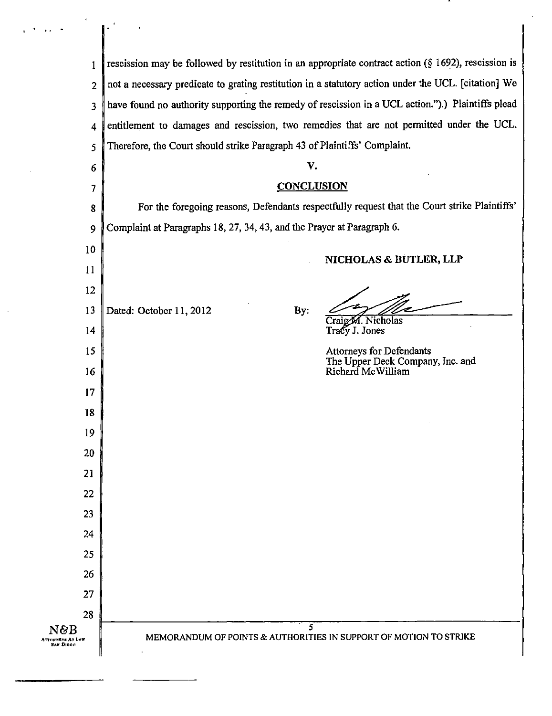| 1                                           | rescission may be followed by restitution in an appropriate contract action $(\S 1692)$ , rescission is |  |
|---------------------------------------------|---------------------------------------------------------------------------------------------------------|--|
| $\overline{2}$                              | not a necessary predicate to grating restitution in a statutory action under the UCL. [citation] We     |  |
| 3                                           | have found no authority supporting the remedy of rescission in a UCL action.").) Plaintiffs plead       |  |
| 4                                           | entitlement to damages and rescission, two remedies that are not permitted under the UCL.               |  |
| 5                                           | Therefore, the Court should strike Paragraph 43 of Plaintiffs' Complaint.                               |  |
| 6                                           | V.                                                                                                      |  |
| 7                                           | <b>CONCLUSION</b>                                                                                       |  |
| 8                                           | For the foregoing reasons, Defendants respectfully request that the Court strike Plaintiffs'            |  |
| 9                                           | Complaint at Paragraphs 18, 27, 34, 43, and the Prayer at Paragraph 6.                                  |  |
| 10                                          |                                                                                                         |  |
| 11                                          | NICHOLAS & BUTLER, LLP                                                                                  |  |
| 12                                          |                                                                                                         |  |
| 13                                          | Dated: October 11, 2012<br>By:                                                                          |  |
| 14                                          | Craig M. Nicholas<br>Tracy J. Jones                                                                     |  |
| 15                                          | <b>Attorneys for Defendants</b><br>The Upper Deck Company, Inc. and                                     |  |
| 16                                          | Richard McWilliam                                                                                       |  |
| 17                                          |                                                                                                         |  |
| 18                                          |                                                                                                         |  |
| 19                                          |                                                                                                         |  |
| 20                                          |                                                                                                         |  |
| 21                                          |                                                                                                         |  |
| 22                                          |                                                                                                         |  |
| 23                                          |                                                                                                         |  |
| 24                                          |                                                                                                         |  |
| 25                                          |                                                                                                         |  |
| 26                                          |                                                                                                         |  |
| 27                                          |                                                                                                         |  |
| 28<br>N&B                                   | 5.                                                                                                      |  |
| <b>ATTORNEYS AT LAW</b><br><b>SAN DIRGO</b> | MEMORANDUM OF POINTS & AUTHORITIES IN SUPPORT OF MOTION TO STRIKE                                       |  |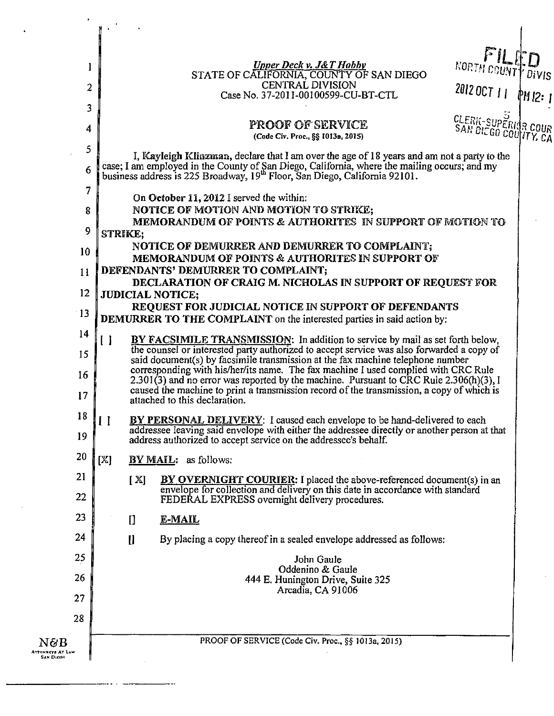| 1                          | <u>Upper Deck v. J&amp;T Hobby</u><br>STATE OF CALIFORNIA, COUNTY OF SAN DIEGO                                                                                                                                                                                                                             | NORTH COUNTY DIVIS                    |  |
|----------------------------|------------------------------------------------------------------------------------------------------------------------------------------------------------------------------------------------------------------------------------------------------------------------------------------------------------|---------------------------------------|--|
| $\overline{2}$             | CENTRAL DIVISION<br>Case No. 37-2011-00100599-CU-BT-CTL                                                                                                                                                                                                                                                    | 2012 OCT 11 PM 12: 1                  |  |
| 3                          |                                                                                                                                                                                                                                                                                                            |                                       |  |
| 4                          | <b>PROOF OF SERVICE</b><br>(Code Civ. Proc., §§ 1013a, 2015)                                                                                                                                                                                                                                               | CLERK-SUPERIOR<br>SAN DIEGO COUNTY CA |  |
| 5<br>6                     | I, Kayleigh Klinzman, declare that I am over the age of 18 years and am not a party to the<br>case; I am employed in the County of San Diego, California, where the mailing occurs; and my business address is 225 Broadway, 19 <sup>th</sup> Floor, San Diego, California 92101.                          |                                       |  |
| 7<br>8                     | On October 11, 2012 I served the within:<br>NOTICE OF MOTION AND MOTION TO STRIKE;                                                                                                                                                                                                                         |                                       |  |
| 9                          | MEMORANDUM OF POINTS & AUTHORITES IN SUPPORT OF MOTION TO<br>STRIKE;                                                                                                                                                                                                                                       |                                       |  |
| 10                         | NOTICE OF DEMURRER AND DEMURRER TO COMPLAINT,                                                                                                                                                                                                                                                              |                                       |  |
| 11                         | MEMORANDUM OF POINTS & AUTHORITES IN SUPPORT OF<br>DEFENDANTS' DEMURRER TO COMPLAINT;                                                                                                                                                                                                                      |                                       |  |
| $12 \overline{ }$          | DECLARATION OF CRAIG M. NICHOLAS IN SUPPORT OF REQUEST FOR<br><b>JUDICIAL NOTICE;</b><br>REQUEST FOR JUDICIAL NOTICE IN SUPPORT OF DEFENDANTS<br><b>DEMURRER TO THE COMPLAINT</b> on the interested parties in said action by:                                                                             |                                       |  |
| $\cdot$ 13                 |                                                                                                                                                                                                                                                                                                            |                                       |  |
| 14                         | $\blacksquare$<br>BY FACSIMILE TRANSMISSION: In addition to service by mail as set forth below,                                                                                                                                                                                                            |                                       |  |
| 15                         | the counsel or interested party authorized to accept service was also forwarded a copy of<br>said document(s) by facsimile transmission at the fax machine telephone number                                                                                                                                |                                       |  |
| 16<br>17                   | corresponding with his/her/its name. The fax machine I used complied with CRC Rule<br>2.301(3) and no error was reported by the machine. Pursuant to CRC Rule 2.306(h)(3), I<br>caused the machine to print a transmission record of the transmission, a copy of which is<br>attached to this declaration. |                                       |  |
| 18<br>19                   | BY PERSONAL DELIVERY: I caused each envelope to be hand-delivered to each<br>$\prod$<br>addressee leaving said envelope with either the addressee directly or another person at that                                                                                                                       |                                       |  |
| 20                         | address authorized to accept service on the addressee's behalf.<br>[X]<br><b>BY MAIL:</b> as follows:                                                                                                                                                                                                      |                                       |  |
| 21                         | [X]<br><b>BY OVERNIGHT COURTER:</b> I placed the above-referenced document(s) in an                                                                                                                                                                                                                        |                                       |  |
| 22                         | envelope for collection and delivery on this date in accordance with standard<br>FEDERAL EXPRESS overnight delivery procedures.                                                                                                                                                                            |                                       |  |
| 23                         | E-MAIL<br>IJ                                                                                                                                                                                                                                                                                               |                                       |  |
| 24                         | $\mathbf{I}$<br>By placing a copy thereof in a sealed envelope addressed as follows:                                                                                                                                                                                                                       |                                       |  |
| 25                         | John Gaule<br>Oddenino & Gaule                                                                                                                                                                                                                                                                             |                                       |  |
| 26                         | 444 E. Hunington Drive, Suite 325<br>Arcadia, CA 91006                                                                                                                                                                                                                                                     |                                       |  |
| 27                         |                                                                                                                                                                                                                                                                                                            |                                       |  |
| 28                         |                                                                                                                                                                                                                                                                                                            |                                       |  |
| ${\rm N} \partial {\rm B}$ | PROOF OF SERVICE (Code Civ. Proc., §§ 1013a, 2015)                                                                                                                                                                                                                                                         |                                       |  |

 $\mathbf{v}$ 

 $\sim$   $\sim$ 

..  $\sim$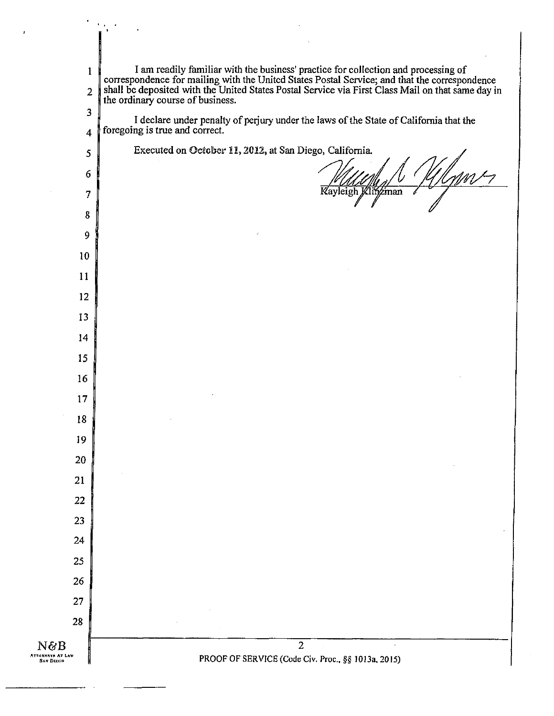| $\mathbf{1}$                                   | I am readily familiar with the business' practice for collection and processing of<br>correspondence for mailing with the United States Postal Service; and that the correspondence<br>shall be deposited with the United States Pos |
|------------------------------------------------|--------------------------------------------------------------------------------------------------------------------------------------------------------------------------------------------------------------------------------------|
| $\overline{2}$                                 | the ordinary course of business.                                                                                                                                                                                                     |
| 3                                              | I declare under penalty of perjury under the laws of the State of California that the                                                                                                                                                |
| $\overline{\bf 4}$                             | foregoing is true and correct.                                                                                                                                                                                                       |
| 5                                              | Executed on October 11, 2012, at San Diego, California.                                                                                                                                                                              |
| $6\phantom{1}$                                 |                                                                                                                                                                                                                                      |
| $\overline{7}$                                 | Kayleigh Klinzman                                                                                                                                                                                                                    |
| 8                                              |                                                                                                                                                                                                                                      |
| 9                                              |                                                                                                                                                                                                                                      |
| 10                                             |                                                                                                                                                                                                                                      |
| 11                                             |                                                                                                                                                                                                                                      |
| 12                                             |                                                                                                                                                                                                                                      |
| 13                                             |                                                                                                                                                                                                                                      |
| 14                                             |                                                                                                                                                                                                                                      |
| 15                                             |                                                                                                                                                                                                                                      |
| 16                                             |                                                                                                                                                                                                                                      |
| 17                                             |                                                                                                                                                                                                                                      |
| 18                                             |                                                                                                                                                                                                                                      |
| 19                                             |                                                                                                                                                                                                                                      |
| 20                                             |                                                                                                                                                                                                                                      |
| 21                                             |                                                                                                                                                                                                                                      |
| 22                                             |                                                                                                                                                                                                                                      |
| 23                                             |                                                                                                                                                                                                                                      |
| 24                                             |                                                                                                                                                                                                                                      |
| 25                                             |                                                                                                                                                                                                                                      |
| 26                                             |                                                                                                                                                                                                                                      |
| 27                                             |                                                                                                                                                                                                                                      |
| 28                                             |                                                                                                                                                                                                                                      |
| $N\&B$<br><b>ATTORNEYS AT LAW</b><br>SAN DIEOR | $\overline{2}$<br>PROOF OF SERVICE (Code Civ. Proc., §§ 1013a, 2015)                                                                                                                                                                 |

 $\bar{\ell}$